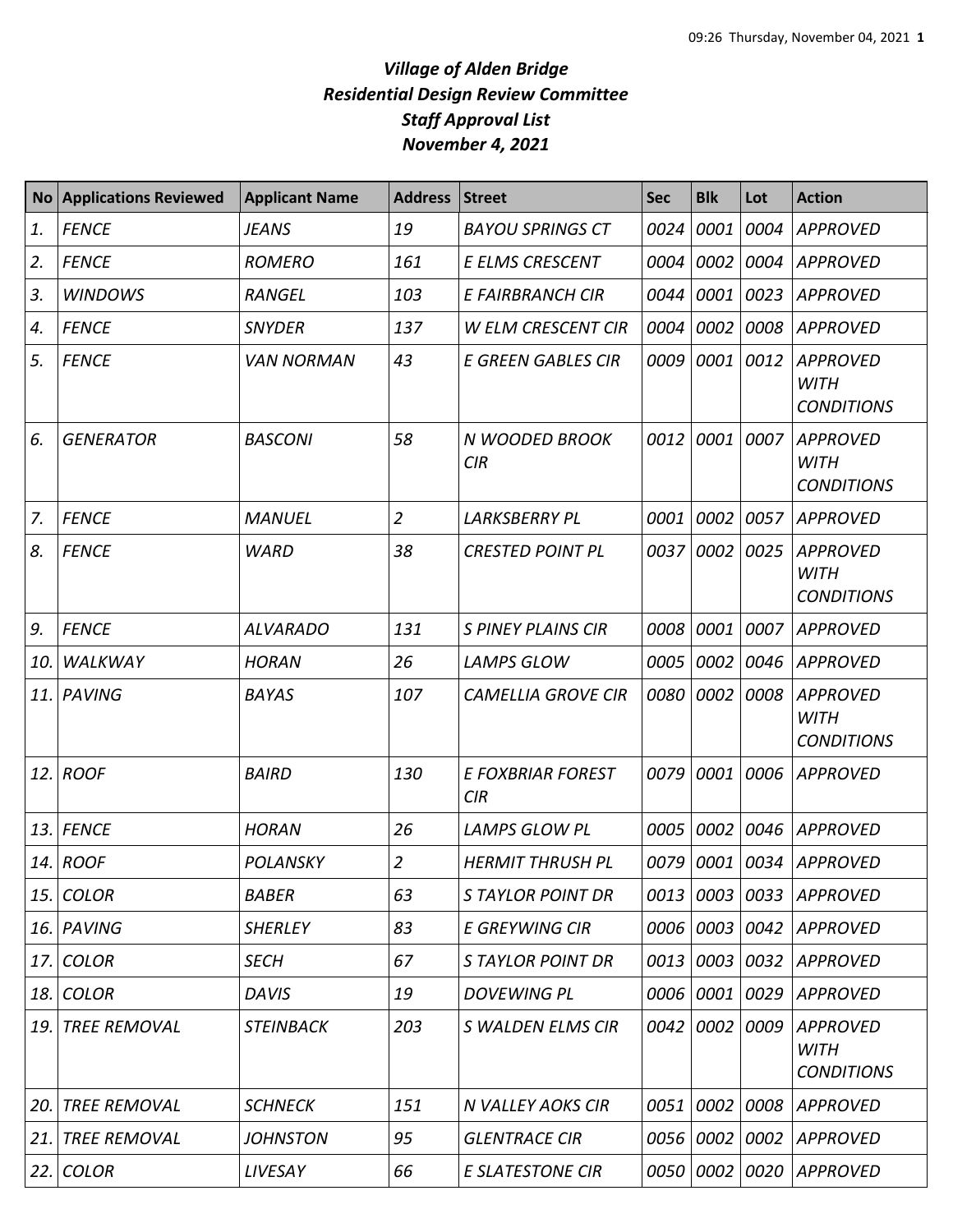| <b>No</b> | <b>Applications Reviewed</b> | <b>Applicant Name</b> | <b>Address</b> | <b>Street</b>                   | <b>Sec</b> | <b>Blk</b> | Lot  | <b>Action</b>                                       |
|-----------|------------------------------|-----------------------|----------------|---------------------------------|------------|------------|------|-----------------------------------------------------|
| 1.        | <b>FENCE</b>                 | JEANS                 | 19             | <b>BAYOU SPRINGS CT</b>         | 0024       | 0001       | 0004 | <b>APPROVED</b>                                     |
| 2.        | <b>FENCE</b>                 | <b>ROMERO</b>         | 161            | E ELMS CRESCENT                 | 0004       | 0002       | 0004 | <b>APPROVED</b>                                     |
| 3.        | <b>WINDOWS</b>               | <b>RANGEL</b>         | 103            | E FAIRBRANCH CIR                | 0044       | 0001       | 0023 | <b>APPROVED</b>                                     |
| 4.        | <b>FENCE</b>                 | <b>SNYDER</b>         | 137            | <b>W ELM CRESCENT CIR</b>       | 0004       | 0002       | 0008 | <b>APPROVED</b>                                     |
| 5.        | <b>FENCE</b>                 | <b>VAN NORMAN</b>     | 43             | <b>E GREEN GABLES CIR</b>       | 0009       | 0001       | 0012 | <b>APPROVED</b><br><b>WITH</b><br><b>CONDITIONS</b> |
| 6.        | <b>GENERATOR</b>             | <b>BASCONI</b>        | 58             | N WOODED BROOK<br>CIR           | 0012       | 0001       | 0007 | <b>APPROVED</b><br><b>WITH</b><br><b>CONDITIONS</b> |
| 7.        | <b>FENCE</b>                 | <b>MANUEL</b>         | $\overline{2}$ | <b>LARKSBERRY PL</b>            | 0001       | 0002       | 0057 | <b>APPROVED</b>                                     |
| 8.        | <b>FENCE</b>                 | <b>WARD</b>           | 38             | <b>CRESTED POINT PL</b>         | 0037       | 0002       | 0025 | <b>APPROVED</b><br><b>WITH</b><br><b>CONDITIONS</b> |
| 9.        | <b>FENCE</b>                 | <b>ALVARADO</b>       | 131            | <b>S PINEY PLAINS CIR</b>       | 0008       | 0001       | 0007 | <b>APPROVED</b>                                     |
| 10.       | WALKWAY                      | <b>HORAN</b>          | 26             | <b>LAMPS GLOW</b>               | 0005       | 0002       | 0046 | <b>APPROVED</b>                                     |
| 11.       | <b>PAVING</b>                | <b>BAYAS</b>          | 107            | <b>CAMELLIA GROVE CIR</b>       | 0080       | 0002       | 0008 | <b>APPROVED</b><br><b>WITH</b><br><b>CONDITIONS</b> |
| 12.       | <b>ROOF</b>                  | <b>BAIRD</b>          | 130            | <b>E FOXBRIAR FOREST</b><br>CIR | 0079       | 0001       | 0006 | <b>APPROVED</b>                                     |
| 13.       | <b>FENCE</b>                 | <b>HORAN</b>          | 26             | <b>LAMPS GLOW PL</b>            | 0005       | 0002       | 0046 | <b>APPROVED</b>                                     |
| 14.       | ROOF                         | <b>POLANSKY</b>       | $\overline{2}$ | <b>HERMIT THRUSH PL</b>         | 0079       | 0001       | 0034 | <b>APPROVED</b>                                     |
| 15.       | <b>COLOR</b>                 | <b>BABER</b>          | 63             | <b>STAYLOR POINT DR</b>         | 0013       | 0003       | 0033 | APPROVED                                            |
| 16.       | PAVING                       | <b>SHERLEY</b>        | 83             | E GREYWING CIR                  | 0006       | 0003       | 0042 | APPROVED                                            |
| 17.       | <b>COLOR</b>                 | <b>SECH</b>           | 67             | <b>STAYLOR POINT DR</b>         | 0013       | 0003       | 0032 | <b>APPROVED</b>                                     |
| 18.       | <b>COLOR</b>                 | <b>DAVIS</b>          | 19             | <b>DOVEWING PL</b>              | 0006       | 0001       | 0029 | <b>APPROVED</b>                                     |
| 19.       | <b>TREE REMOVAL</b>          | <b>STEINBACK</b>      | 203            | S WALDEN ELMS CIR               | 0042       | 0002       | 0009 | <b>APPROVED</b><br><b>WITH</b><br><b>CONDITIONS</b> |
| 20.       | <b>TREE REMOVAL</b>          | <b>SCHNECK</b>        | 151            | <b>N VALLEY AOKS CIR</b>        | 0051       | 0002       | 0008 | <b>APPROVED</b>                                     |
| 21.       | <b>TREE REMOVAL</b>          | <b>JOHNSTON</b>       | 95             | <b>GLENTRACE CIR</b>            | 0056       | 0002       | 0002 | <b>APPROVED</b>                                     |
| 22.       | <b>COLOR</b>                 | LIVESAY               | 66             | <b>E SLATESTONE CIR</b>         | 0050       | 0002       | 0020 | <b>APPROVED</b>                                     |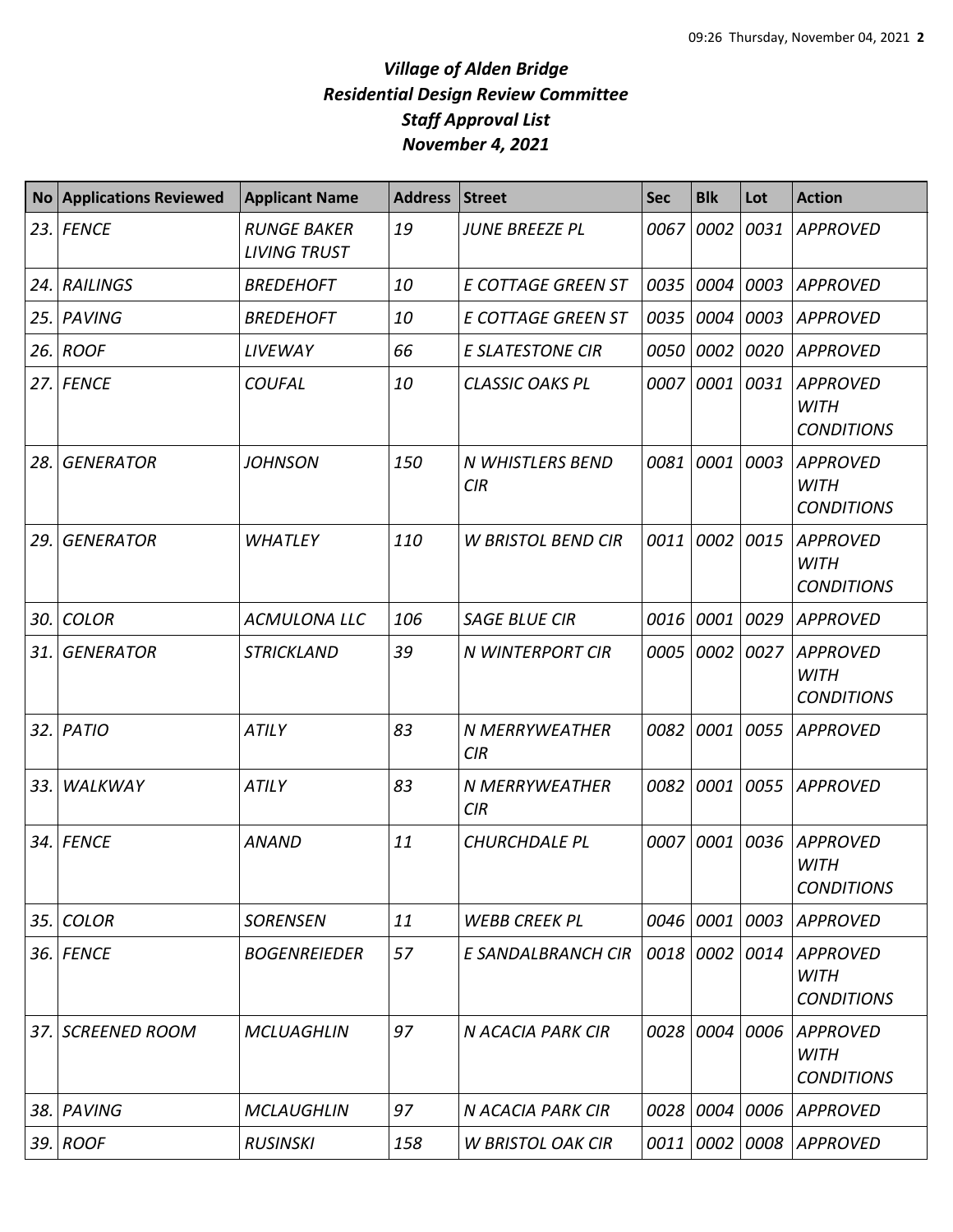|     | No Applications Reviewed | <b>Applicant Name</b>                     | <b>Address</b> | <b>Street</b>                | <b>Sec</b> | <b>Blk</b> | Lot  | <b>Action</b>                                       |
|-----|--------------------------|-------------------------------------------|----------------|------------------------------|------------|------------|------|-----------------------------------------------------|
| 23. | <b>FENCE</b>             | <b>RUNGE BAKER</b><br><b>LIVING TRUST</b> | 19             | <b>JUNE BREEZE PL</b>        | 0067       | 0002       | 0031 | <b>APPROVED</b>                                     |
| 24. | <b>RAILINGS</b>          | <b>BREDEHOFT</b>                          | 10             | <b>E COTTAGE GREEN ST</b>    | 0035       | 0004       | 0003 | <b>APPROVED</b>                                     |
| 25. | <b>PAVING</b>            | <b>BREDEHOFT</b>                          | 10             | <b>E COTTAGE GREEN ST</b>    | 0035       | 0004       | 0003 | <b>APPROVED</b>                                     |
| 26. | <b>ROOF</b>              | LIVEWAY                                   | 66             | <b>E SLATESTONE CIR</b>      | 0050       | 0002       | 0020 | <b>APPROVED</b>                                     |
| 27. | <b>FENCE</b>             | <b>COUFAL</b>                             | 10             | <b>CLASSIC OAKS PL</b>       | 0007       | 0001       | 0031 | <b>APPROVED</b><br><b>WITH</b><br><b>CONDITIONS</b> |
| 28. | <b>GENERATOR</b>         | <b>JOHNSON</b>                            | 150            | N WHISTLERS BEND<br>CIR      | 0081       | 0001       | 0003 | <b>APPROVED</b><br><b>WITH</b><br><b>CONDITIONS</b> |
| 29. | <b>GENERATOR</b>         | <b>WHATLEY</b>                            | 110            | <b>W BRISTOL BEND CIR</b>    | 0011       | 0002       | 0015 | <b>APPROVED</b><br><b>WITH</b><br><b>CONDITIONS</b> |
| 30. | <b>COLOR</b>             | <b>ACMULONA LLC</b>                       | 106            | <b>SAGE BLUE CIR</b>         | 0016       | 0001       | 0029 | <b>APPROVED</b>                                     |
| 31. | <b>GENERATOR</b>         | <b>STRICKLAND</b>                         | 39             | N WINTERPORT CIR             | 0005       | 0002       | 0027 | <b>APPROVED</b><br><b>WITH</b><br><b>CONDITIONS</b> |
| 32. | PATIO                    | ATILY                                     | 83             | N MERRYWEATHER<br><b>CIR</b> | 0082       | 0001       | 0055 | <b>APPROVED</b>                                     |
| 33. | WALKWAY                  | ATILY                                     | 83             | N MERRYWEATHER<br>CIR        | 0082       | 0001       | 0055 | <b>APPROVED</b>                                     |
| 34. | <b>FENCE</b>             | <b>ANAND</b>                              | 11             | <b>CHURCHDALE PL</b>         | 0007       | 0001       | 0036 | <b>APPROVED</b><br><b>WITH</b><br><b>CONDITIONS</b> |
| 35. | <b>COLOR</b>             | <b>SORENSEN</b>                           | 11             | <b>WEBB CREEK PL</b>         | 0046       | 0001       | 0003 | <b>APPROVED</b>                                     |
| 36. | <b>FENCE</b>             | <b>BOGENREIEDER</b>                       | 57             | E SANDALBRANCH CIR           | 0018       | 0002       | 0014 | <b>APPROVED</b><br><b>WITH</b><br><b>CONDITIONS</b> |
| 37. | <b>SCREENED ROOM</b>     | <b>MCLUAGHLIN</b>                         | 97             | N ACACIA PARK CIR            | 0028       | 0004       | 0006 | <b>APPROVED</b><br><b>WITH</b><br><b>CONDITIONS</b> |
| 38. | PAVING                   | <b>MCLAUGHLIN</b>                         | 97             | N ACACIA PARK CIR            | 0028       | 0004       | 0006 | <b>APPROVED</b>                                     |
|     | 39. ROOF                 | <b>RUSINSKI</b>                           | 158            | <b>W BRISTOL OAK CIR</b>     | 0011       | 0002       | 0008 | <b>APPROVED</b>                                     |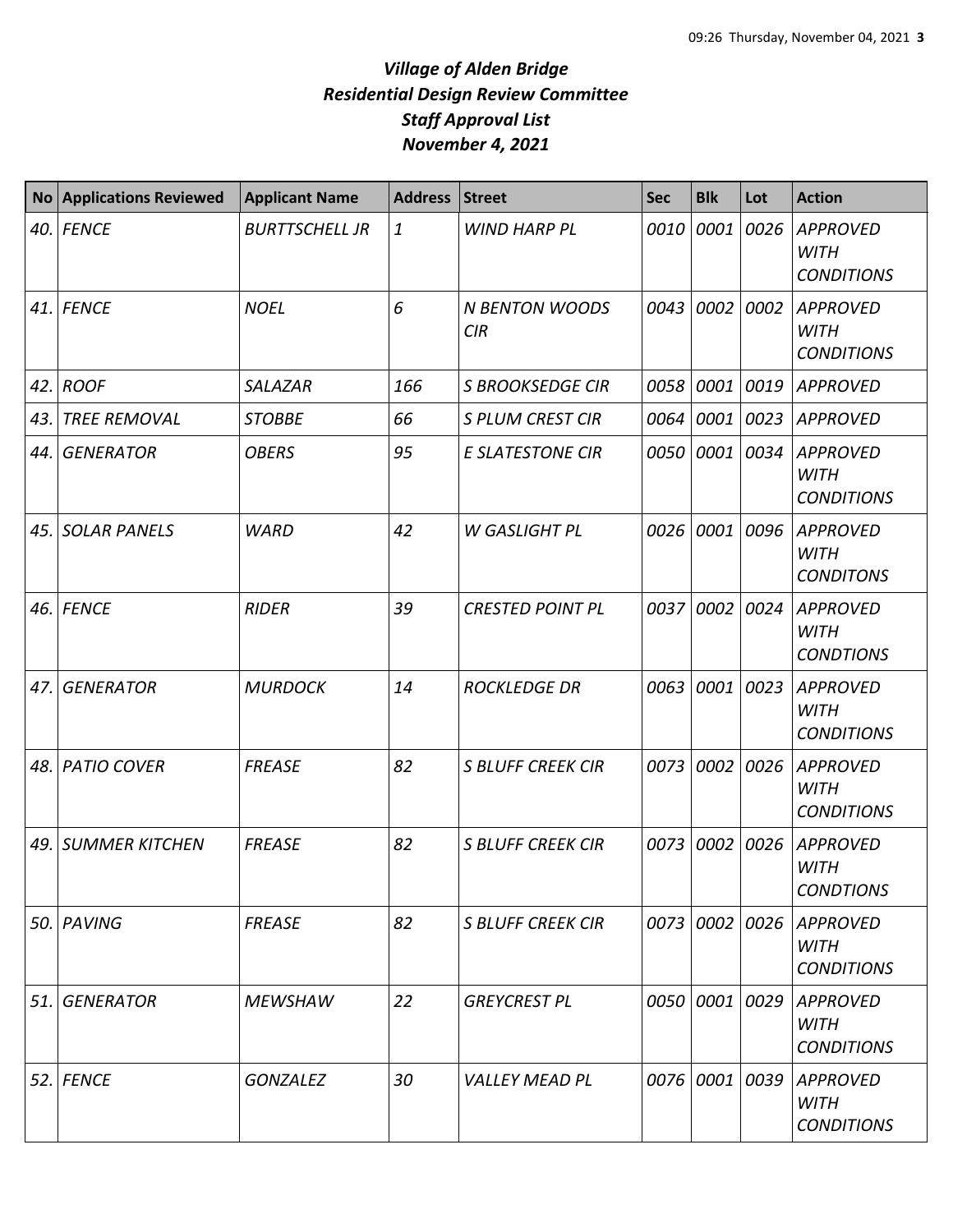| <b>No</b> | <b>Applications Reviewed</b> | <b>Applicant Name</b> | <b>Address</b> | <b>Street</b>                       | <b>Sec</b> | <b>Blk</b> | Lot  | <b>Action</b>                                       |
|-----------|------------------------------|-----------------------|----------------|-------------------------------------|------------|------------|------|-----------------------------------------------------|
|           | 40. FENCE                    | <b>BURTTSCHELL JR</b> | $\mathbf{1}$   | <b>WIND HARP PL</b>                 | 0010       | 0001       | 0026 | <b>APPROVED</b><br><b>WITH</b><br><b>CONDITIONS</b> |
|           | 41. FENCE                    | <b>NOEL</b>           | 6              | <b>N BENTON WOODS</b><br><b>CIR</b> | 0043       | 0002       | 0002 | <b>APPROVED</b><br><b>WITH</b><br><b>CONDITIONS</b> |
| 42.       | <b>ROOF</b>                  | <b>SALAZAR</b>        | 166            | <b>S BROOKSEDGE CIR</b>             | 0058       | 0001       | 0019 | <b>APPROVED</b>                                     |
| 43.       | <b>TREE REMOVAL</b>          | <b>STOBBE</b>         | 66             | <b>S PLUM CREST CIR</b>             | 0064       | 0001       | 0023 | <b>APPROVED</b>                                     |
| 44.       | <b>GENERATOR</b>             | <b>OBERS</b>          | 95             | <b>E SLATESTONE CIR</b>             | 0050       | 0001       | 0034 | <b>APPROVED</b><br><b>WITH</b><br><b>CONDITIONS</b> |
| 45.       | <b>SOLAR PANELS</b>          | <b>WARD</b>           | 42             | <b>W GASLIGHT PL</b>                | 0026       | 0001       | 0096 | <b>APPROVED</b><br><b>WITH</b><br><b>CONDITONS</b>  |
| 46.       | <b>FENCE</b>                 | <b>RIDER</b>          | 39             | <b>CRESTED POINT PL</b>             | 0037       | 0002       | 0024 | <b>APPROVED</b><br><b>WITH</b><br><b>CONDTIONS</b>  |
| 47.       | <b>GENERATOR</b>             | <b>MURDOCK</b>        | 14             | <b>ROCKLEDGE DR</b>                 | 0063       | 0001       | 0023 | <b>APPROVED</b><br><b>WITH</b><br><b>CONDITIONS</b> |
| 48.       | <b>PATIO COVER</b>           | <b>FREASE</b>         | 82             | <b>S BLUFF CREEK CIR</b>            | 0073       | 0002       | 0026 | <b>APPROVED</b><br><b>WITH</b><br><b>CONDITIONS</b> |
| 49.       | <b>SUMMER KITCHEN</b>        | <b>FREASE</b>         | 82             | <b>S BLUFF CREEK CIR</b>            | 0073       | 0002       | 0026 | <b>APPROVED</b><br><b>WITH</b><br><b>CONDTIONS</b>  |
|           | 50. PAVING                   | <b>FREASE</b>         | 82             | <b>S BLUFF CREEK CIR</b>            | 0073       | 0002       | 0026 | <b>APPROVED</b><br><b>WITH</b><br><b>CONDITIONS</b> |
| 51.       | <b>GENERATOR</b>             | <b>MEWSHAW</b>        | 22             | <b>GREYCREST PL</b>                 | 0050       | 0001       | 0029 | <b>APPROVED</b><br><b>WITH</b><br><b>CONDITIONS</b> |
|           | 52. FENCE                    | <b>GONZALEZ</b>       | 30             | <b>VALLEY MEAD PL</b>               | 0076       | 0001       | 0039 | <b>APPROVED</b><br><b>WITH</b><br><b>CONDITIONS</b> |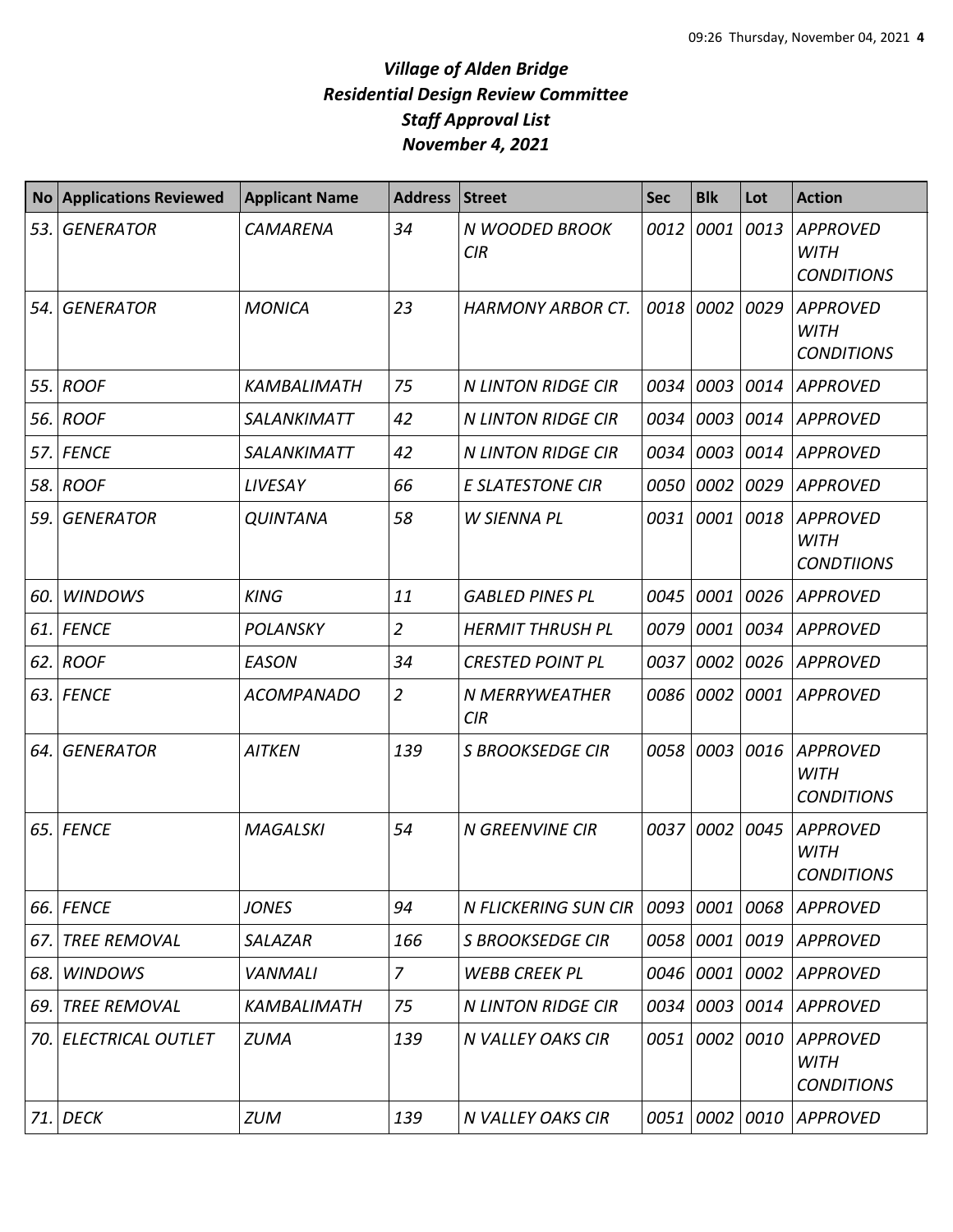| <b>No</b> | <b>Applications Reviewed</b> | <b>Applicant Name</b> | <b>Address</b> | <b>Street</b>             | <b>Sec</b> | <b>Blk</b> | Lot  | <b>Action</b>                                       |
|-----------|------------------------------|-----------------------|----------------|---------------------------|------------|------------|------|-----------------------------------------------------|
| 53.       | <b>GENERATOR</b>             | <b>CAMARENA</b>       | 34             | N WOODED BROOK<br>CIR     | 0012       | 0001       | 0013 | <b>APPROVED</b><br><b>WITH</b><br><b>CONDITIONS</b> |
| 54.       | <b>GENERATOR</b>             | <b>MONICA</b>         | 23             | <b>HARMONY ARBOR CT.</b>  | 0018       | 0002       | 0029 | <b>APPROVED</b><br><b>WITH</b><br><b>CONDITIONS</b> |
| 55.       | <b>ROOF</b>                  | KAMBALIMATH           | 75             | <b>N LINTON RIDGE CIR</b> | 0034       | 0003       | 0014 | <b>APPROVED</b>                                     |
| 56.       | <b>ROOF</b>                  | <b>SALANKIMATT</b>    | 42             | <b>N LINTON RIDGE CIR</b> | 0034       | 0003       | 0014 | <b>APPROVED</b>                                     |
| 57.       | <b>FENCE</b>                 | <b>SALANKIMATT</b>    | 42             | <b>N LINTON RIDGE CIR</b> | 0034       | 0003       | 0014 | <b>APPROVED</b>                                     |
| 58.       | <b>ROOF</b>                  | LIVESAY               | 66             | <b>E SLATESTONE CIR</b>   | 0050       | 0002       | 0029 | <b>APPROVED</b>                                     |
| 59.       | <b>GENERATOR</b>             | <b>QUINTANA</b>       | 58             | W SIENNA PL               | 0031       | 0001       | 0018 | <b>APPROVED</b><br><b>WITH</b><br><b>CONDTIIONS</b> |
| 60.       | <b>WINDOWS</b>               | <b>KING</b>           | 11             | <b>GABLED PINES PL</b>    | 0045       | 0001       | 0026 | <b>APPROVED</b>                                     |
| 61.       | <b>FENCE</b>                 | <b>POLANSKY</b>       | $\overline{2}$ | <b>HERMIT THRUSH PL</b>   | 0079       | 0001       | 0034 | <b>APPROVED</b>                                     |
| 62.       | <b>ROOF</b>                  | EASON                 | 34             | <b>CRESTED POINT PL</b>   | 0037       | 0002       | 0026 | <b>APPROVED</b>                                     |
|           | 63. FENCE                    | <b>ACOMPANADO</b>     | $\overline{2}$ | N MERRYWEATHER<br>CIR     | 0086       | 0002       | 0001 | <b>APPROVED</b>                                     |
| 64.       | <b>GENERATOR</b>             | <b>AITKEN</b>         | 139            | <b>S BROOKSEDGE CIR</b>   | 0058       | 0003       | 0016 | <b>APPROVED</b><br><b>WITH</b><br><b>CONDITIONS</b> |
| 65.       | <b>FENCE</b>                 | <b>MAGALSKI</b>       | 54             | <b>N GREENVINE CIR</b>    | 0037       | 0002       | 0045 | <b>APPROVED</b><br><b>WITH</b><br><b>CONDITIONS</b> |
| 66.       | <b>FENCE</b>                 | JONES                 | 94             | N FLICKERING SUN CIR      | 0093       | 0001       | 0068 | APPROVED                                            |
| 67.       | <b>TREE REMOVAL</b>          | <b>SALAZAR</b>        | 166            | <b>S BROOKSEDGE CIR</b>   | 0058       | 0001       | 0019 | APPROVED                                            |
| 68.       | <b>WINDOWS</b>               | <b>VANMALI</b>        | $\overline{7}$ | <b>WEBB CREEK PL</b>      | 0046       | 0001       | 0002 | <b>APPROVED</b>                                     |
| 69.       | <b>TREE REMOVAL</b>          | KAMBALIMATH           | 75             | <b>N LINTON RIDGE CIR</b> | 0034       | 0003       | 0014 | <b>APPROVED</b>                                     |
| 70.       | <b>ELECTRICAL OUTLET</b>     | <b>ZUMA</b>           | 139            | N VALLEY OAKS CIR         | 0051       | 0002       | 0010 | <b>APPROVED</b><br><b>WITH</b><br><b>CONDITIONS</b> |
| 71.       | <b>DECK</b>                  | <b>ZUM</b>            | 139            | N VALLEY OAKS CIR         | 0051       | 0002       | 0010 | <b>APPROVED</b>                                     |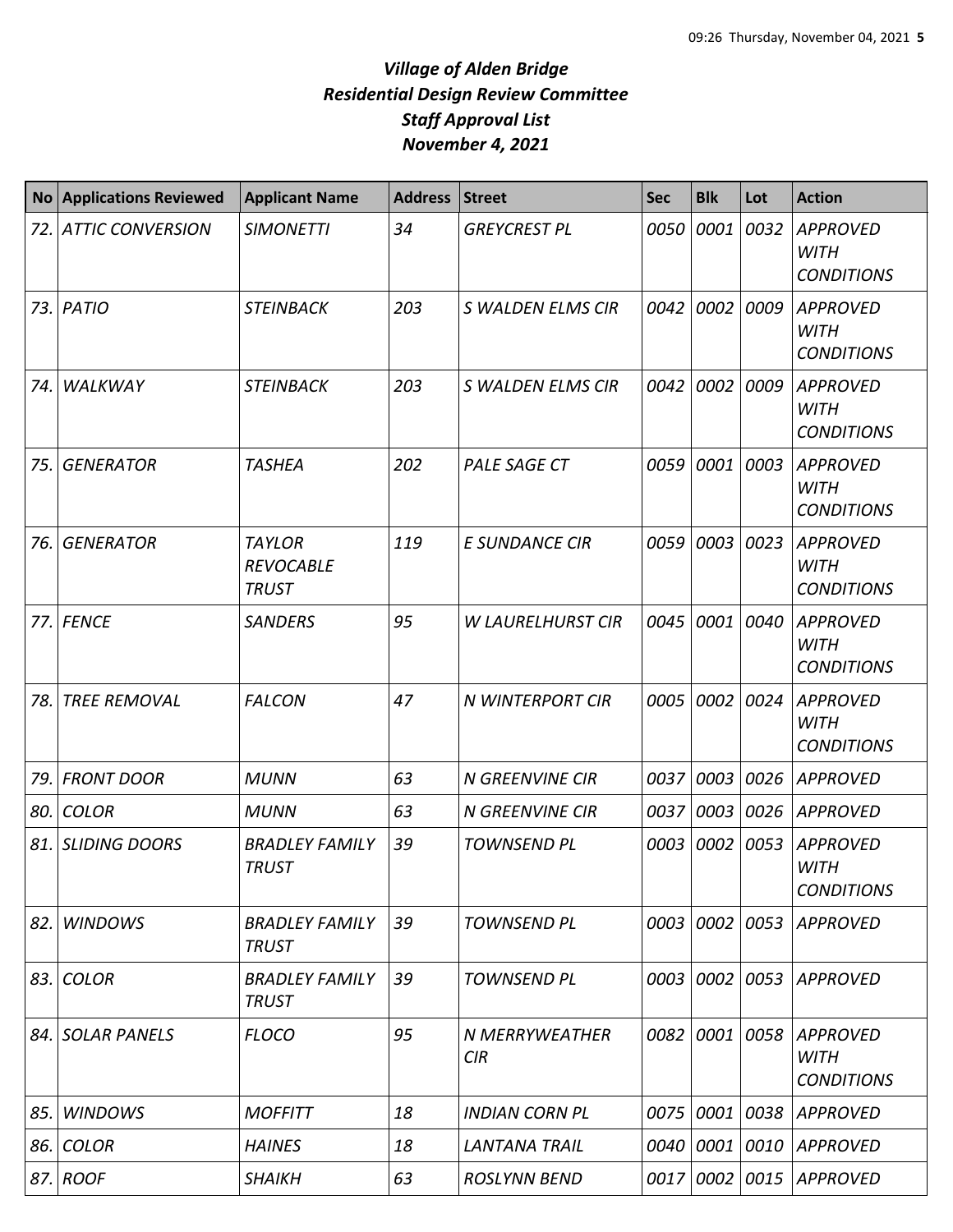|      | <b>No Applications Reviewed</b> | <b>Applicant Name</b>                             | <b>Address</b> | <b>Street</b>            | <b>Sec</b> | <b>Blk</b> | Lot       | <b>Action</b>                                       |
|------|---------------------------------|---------------------------------------------------|----------------|--------------------------|------------|------------|-----------|-----------------------------------------------------|
| 72.  | <b>ATTIC CONVERSION</b>         | <b>SIMONETTI</b>                                  | 34             | <b>GREYCREST PL</b>      | 0050       | 0001       | 0032      | <b>APPROVED</b><br><b>WITH</b><br><b>CONDITIONS</b> |
| 73.1 | <b>PATIO</b>                    | <b>STEINBACK</b>                                  | 203            | S WALDEN ELMS CIR        | 0042       | 0002       | 0009      | <b>APPROVED</b><br><b>WITH</b><br><b>CONDITIONS</b> |
| 74.  | <b>WALKWAY</b>                  | <b>STEINBACK</b>                                  | 203            | S WALDEN ELMS CIR        | 0042       | 0002       | 0009      | <b>APPROVED</b><br><b>WITH</b><br><b>CONDITIONS</b> |
| 75.  | <b>GENERATOR</b>                | <b>TASHEA</b>                                     | 202            | PALE SAGE CT             | 0059       | 0001       | 0003      | <b>APPROVED</b><br><b>WITH</b><br><b>CONDITIONS</b> |
| 76.  | <b>GENERATOR</b>                | <b>TAYLOR</b><br><b>REVOCABLE</b><br><b>TRUST</b> | 119            | <b>E SUNDANCE CIR</b>    | 0059       | 0003       | 0023      | <b>APPROVED</b><br><b>WITH</b><br><b>CONDITIONS</b> |
| 77.  | <b>FENCE</b>                    | <b>SANDERS</b>                                    | 95             | <b>W LAURELHURST CIR</b> | 0045       | 0001       | 0040      | <b>APPROVED</b><br><b>WITH</b><br><b>CONDITIONS</b> |
| 78.  | <b>TREE REMOVAL</b>             | <b>FALCON</b>                                     | 47             | <b>N WINTERPORT CIR</b>  | 0005       | 0002       | 0024      | <b>APPROVED</b><br><b>WITH</b><br><b>CONDITIONS</b> |
| 79.  | <b>FRONT DOOR</b>               | <b>MUNN</b>                                       | 63             | <b>N GREENVINE CIR</b>   | 0037       | 0003       | 0026      | <b>APPROVED</b>                                     |
| 80.  | <b>COLOR</b>                    | <b>MUNN</b>                                       | 63             | <b>N GREENVINE CIR</b>   | 0037       | 0003       | 0026      | <b>APPROVED</b>                                     |
| 81.  | <b>SLIDING DOORS</b>            | <b>BRADLEY FAMILY</b><br><b>TRUST</b>             | 39             | <b>TOWNSEND PL</b>       | 0003       | 0002       | 0053      | <b>APPROVED</b><br><b>WITH</b><br><b>CONDITIONS</b> |
| 82.  | <b>WINDOWS</b>                  | <b>BRADLEY FAMILY</b><br><b>TRUST</b>             | 39             | <b>TOWNSEND PL</b>       | 0003       |            | 0002 0053 | APPROVED                                            |
| 83.  | <b>COLOR</b>                    | <b>BRADLEY FAMILY</b><br><b>TRUST</b>             | 39             | <b>TOWNSEND PL</b>       | 0003       |            |           | 0002 0053 APPROVED                                  |
| 84.  | <b>SOLAR PANELS</b>             | <b>FLOCO</b>                                      | 95             | N MERRYWEATHER<br>CIR    | 0082       | 0001       | 0058      | <b>APPROVED</b><br><b>WITH</b><br><b>CONDITIONS</b> |
| 85.  | <b>WINDOWS</b>                  | <b>MOFFITT</b>                                    | 18             | <b>INDIAN CORN PL</b>    | 0075       | 0001       | 0038      | <b>APPROVED</b>                                     |
| 86.  | <b>COLOR</b>                    | <b>HAINES</b>                                     | 18             | LANTANA TRAIL            | 0040       | 0001       | 0010      | APPROVED                                            |
|      | 87. ROOF                        | <b>SHAIKH</b>                                     | 63             | <b>ROSLYNN BEND</b>      | 0017       | 0002       |           | 0015 APPROVED                                       |